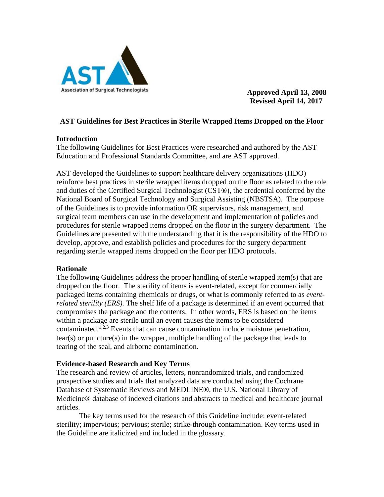

 **Approved April 13, 2008 Revised April 14, 2017**

### **AST Guidelines for Best Practices in Sterile Wrapped Items Dropped on the Floor**

#### **Introduction**

The following Guidelines for Best Practices were researched and authored by the AST Education and Professional Standards Committee, and are AST approved.

AST developed the Guidelines to support healthcare delivery organizations (HDO) reinforce best practices in sterile wrapped items dropped on the floor as related to the role and duties of the Certified Surgical Technologist (CST®), the credential conferred by the National Board of Surgical Technology and Surgical Assisting (NBSTSA). The purpose of the Guidelines is to provide information OR supervisors, risk management, and surgical team members can use in the development and implementation of policies and procedures for sterile wrapped items dropped on the floor in the surgery department. The Guidelines are presented with the understanding that it is the responsibility of the HDO to develop, approve, and establish policies and procedures for the surgery department regarding sterile wrapped items dropped on the floor per HDO protocols.

## **Rationale**

The following Guidelines address the proper handling of sterile wrapped item(s) that are dropped on the floor. The sterility of items is event-related, except for commercially packaged items containing chemicals or drugs, or what is commonly referred to as *eventrelated sterility (ERS).* The shelf life of a package is determined if an event occurred that compromises the package and the contents. In other words, ERS is based on the items within a package are sterile until an event causes the items to be considered contaminated.<sup>1,2,3</sup> Events that can cause contamination include moisture penetration, tear(s) or puncture(s) in the wrapper, multiple handling of the package that leads to tearing of the seal, and airborne contamination.

## **Evidence-based Research and Key Terms**

The research and review of articles, letters, nonrandomized trials, and randomized prospective studies and trials that analyzed data are conducted using the Cochrane Database of Systematic Reviews and MEDLINE®, the U.S. National Library of Medicine® database of indexed citations and abstracts to medical and healthcare journal articles.

The key terms used for the research of this Guideline include: event-related sterility; impervious; pervious; sterile; strike-through contamination. Key terms used in the Guideline are italicized and included in the glossary.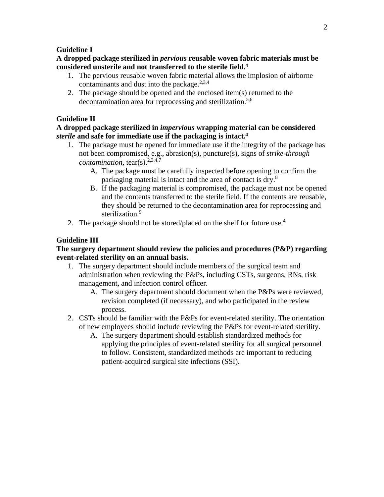#### **Guideline I**

**A dropped package sterilized in** *pervious* **reusable woven fabric materials must be considered unsterile and not transferred to the sterile field. 4**

- 1. The pervious reusable woven fabric material allows the implosion of airborne contaminants and dust into the package.<sup>2,3,4</sup>
- 2. The package should be opened and the enclosed item(s) returned to the decontamination area for reprocessing and sterilization.<sup>5,6</sup>

## **Guideline II**

### **A dropped package sterilized in** *impervious* **wrapping material can be considered**  *sterile* **and safe for immediate use if the packaging is intact.4**

- 1. The package must be opened for immediate use if the integrity of the package has not been compromised, e.g., abrasion(s), puncture(s), signs of *strike-through contamination*, tear(s).<sup>2,3,4,7</sup>
	- A. The package must be carefully inspected before opening to confirm the packaging material is intact and the area of contact is dry.<sup>8</sup>
	- B. If the packaging material is compromised, the package must not be opened and the contents transferred to the sterile field. If the contents are reusable, they should be returned to the decontamination area for reprocessing and sterilization.<sup>9</sup>
- 2. The package should not be stored/placed on the shelf for future use.<sup>4</sup>

### **Guideline III**

### **The surgery department should review the policies and procedures (P&P) regarding event-related sterility on an annual basis.**

- 1. The surgery department should include members of the surgical team and administration when reviewing the P&Ps, including CSTs, surgeons, RNs, risk management, and infection control officer.
	- A. The surgery department should document when the P&Ps were reviewed, revision completed (if necessary), and who participated in the review process.
- 2. CSTs should be familiar with the P&Ps for event-related sterility. The orientation of new employees should include reviewing the P&Ps for event-related sterility.
	- A. The surgery department should establish standardized methods for applying the principles of event-related sterility for all surgical personnel to follow. Consistent, standardized methods are important to reducing patient-acquired surgical site infections (SSI).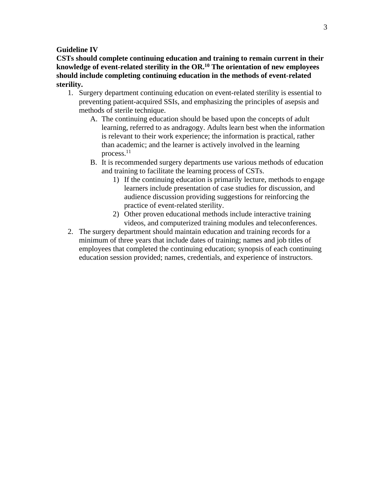#### **Guideline IV**

**CSTs should complete continuing education and training to remain current in their knowledge of event-related sterility in the OR.10 The orientation of new employees should include completing continuing education in the methods of event-related sterility.**

- 1. Surgery department continuing education on event-related sterility is essential to preventing patient-acquired SSIs, and emphasizing the principles of asepsis and methods of sterile technique.
	- A. The continuing education should be based upon the concepts of adult learning, referred to as andragogy. Adults learn best when the information is relevant to their work experience; the information is practical, rather than academic; and the learner is actively involved in the learning process.11
	- B. It is recommended surgery departments use various methods of education and training to facilitate the learning process of CSTs.
		- 1) If the continuing education is primarily lecture, methods to engage learners include presentation of case studies for discussion, and audience discussion providing suggestions for reinforcing the practice of event-related sterility.
		- 2) Other proven educational methods include interactive training videos, and computerized training modules and teleconferences.
- 2. The surgery department should maintain education and training records for a minimum of three years that include dates of training; names and job titles of employees that completed the continuing education; synopsis of each continuing education session provided; names, credentials, and experience of instructors.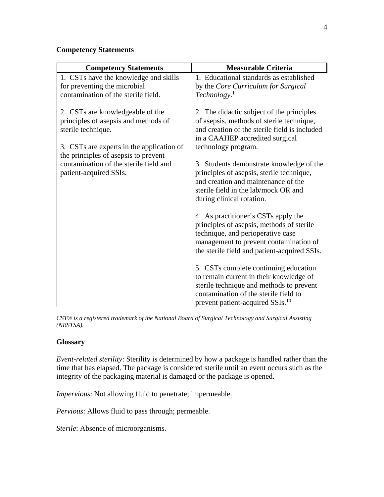# **Competency Statements**

| <b>Competency Statements</b>                                                                             | <b>Measurable Criteria</b>                                                                                                                                                                                            |
|----------------------------------------------------------------------------------------------------------|-----------------------------------------------------------------------------------------------------------------------------------------------------------------------------------------------------------------------|
| 1. CSTs have the knowledge and skills                                                                    | 1. Educational standards as established                                                                                                                                                                               |
| for preventing the microbial                                                                             | by the Core Curriculum for Surgical                                                                                                                                                                                   |
| contamination of the sterile field.                                                                      | Technology. <sup>1</sup>                                                                                                                                                                                              |
| 2. CSTs are knowledgeable of the<br>principles of asepsis and methods of<br>sterile technique.           | 2. The didactic subject of the principles<br>of asepsis, methods of sterile technique,<br>and creation of the sterile field is included<br>in a CAAHEP accredited surgical                                            |
| 3. CSTs are experts in the application of                                                                | technology program.                                                                                                                                                                                                   |
| the principles of asepsis to prevent<br>contamination of the sterile field and<br>patient-acquired SSIs. | 3. Students demonstrate knowledge of the<br>principles of asepsis, sterile technique,<br>and creation and maintenance of the<br>sterile field in the lab/mock OR and<br>during clinical rotation.                     |
|                                                                                                          | 4. As practitioner's CSTs apply the<br>principles of asepsis, methods of sterile<br>technique, and perioperative case<br>management to prevent contamination of<br>the sterile field and patient-acquired SSIs.       |
|                                                                                                          | 5. CSTs complete continuing education<br>to remain current in their knowledge of<br>sterile technique and methods to prevent<br>contamination of the sterile field to<br>prevent patient-acquired SSIs. <sup>10</sup> |

*CST® is a registered trademark of the National Board of Surgical Technology and Surgical Assisting (NBSTSA).* 

## **Glossary**

*Event-related sterility*: Sterility is determined by how a package is handled rather than the time that has elapsed. The package is considered sterile until an event occurs such as the integrity of the packaging material is damaged or the package is opened.

*Impervious*: Not allowing fluid to penetrate; impermeable.

*Pervious*: Allows fluid to pass through; permeable.

*Sterile*: Absence of microorganisms.